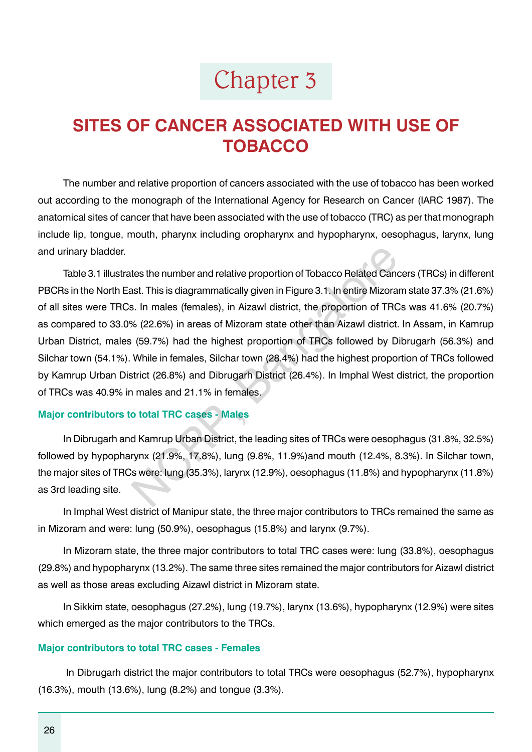# Chapter 3

# **SITES OF CANCER ASSOCIATED WITH USE OF TOBACCO**

The number and relative proportion of cancers associated with the use of tobacco has been worked out according to the monograph of the International Agency for Research on Cancer (IARC 1987). The anatomical sites of cancer that have been associated with the use of tobacco (TRC) as per that monograph include lip, tongue, mouth, pharynx including oropharynx and hypopharynx, oesophagus, larynx, lung and urinary bladder.

Table 3.1 illustrates the number and relative proportion of Tobacco Related Cancers (TRCs) in different PBCRs in the North East. This is diagrammatically given in Figure 3.1. In entire Mizoram state 37.3% (21.6%) of all sites were TRCs. In males (females), in Aizawl district, the proportion of TRCs was 41.6% (20.7%) as compared to 33.0% (22.6%) in areas of Mizoram state other than Aizawl district. In Assam, in Kamrup Urban District, males (59.7%) had the highest proportion of TRCs followed by Dibrugarh (56.3%) and Silchar town (54.1%). While in females, Silchar town (28.4%) had the highest proportion of TRCs followed by Kamrup Urban District (26.8%) and Dibrugarh District (26.4%). In Imphal West district, the proportion of TRCs was 40.9% in males and 21.1% in females. tes the number and relative proportion of Tobacco Related Cand<br>st. This is diagrammatically given in Figure 3.1. In entire Mizora<br>s. In males (females), in Aizawl district, the proportion of TRC<br>% (22.6%) in areas of Mizor

#### **Major contributors to total TRC cases - Males**

In Dibrugarh and Kamrup Urban District, the leading sites of TRCs were oesophagus (31.8%, 32.5%) followed by hypopharynx (21.9%, 17.8%), lung (9.8%, 11.9%)and mouth (12.4%, 8.3%). In Silchar town, the major sites of TRCs were: lung (35.3%), larynx (12.9%), oesophagus (11.8%) and hypopharynx (11.8%) as 3rd leading site.

In Imphal West district of Manipur state, the three major contributors to TRCs remained the same as in Mizoram and were: lung (50.9%), oesophagus (15.8%) and larynx (9.7%).

In Mizoram state, the three major contributors to total TRC cases were: lung (33.8%), oesophagus (29.8%) and hypopharynx (13.2%). The same three sites remained the major contributors for Aizawl district as well as those areas excluding Aizawl district in Mizoram state.

In Sikkim state, oesophagus (27.2%), lung (19.7%), larynx (13.6%), hypopharynx (12.9%) were sites which emerged as the major contributors to the TRCs.

#### **Major contributors to total TRC cases - Females**

 In Dibrugarh district the major contributors to total TRCs were oesophagus (52.7%), hypopharynx (16.3%), mouth (13.6%), lung (8.2%) and tongue (3.3%).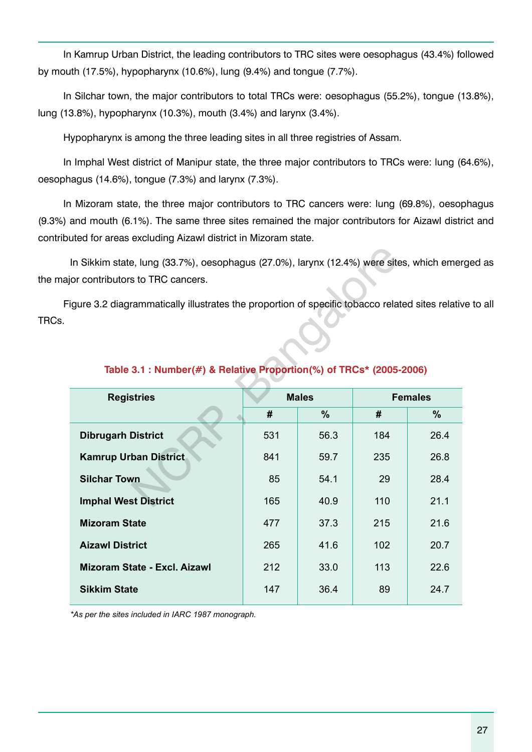In Kamrup Urban District, the leading contributors to TRC sites were oesophagus (43.4%) followed by mouth (17.5%), hypopharynx (10.6%), lung (9.4%) and tongue (7.7%).

In Silchar town, the major contributors to total TRCs were: oesophagus (55.2%), tongue (13.8%), lung (13.8%), hypopharynx (10.3%), mouth (3.4%) and larynx (3.4%).

Hypopharynx is among the three leading sites in all three registries of Assam.

In Imphal West district of Manipur state, the three major contributors to TRCs were: lung (64.6%), oesophagus (14.6%), tongue (7.3%) and larynx (7.3%).

In Mizoram state, the three major contributors to TRC cancers were: lung (69.8%), oesophagus (9.3%) and mouth (6.1%). The same three sites remained the major contributors for Aizawl district and contributed for areas excluding Aizawl district in Mizoram state.

In Sikkim state, lung (33.7%), oesophagus (27.0%), larynx (12.4%) were sites, which emerged as the major contributors to TRC cancers.

Figure 3.2 diagrammatically illustrates the proportion of specific tobacco related sites relative to all TRCs.

| In Sikkim state, lung (33.7%), oesophagus (27.0%), larynx (12.4%) were sites, which eme<br>or contributors to TRC cancers.<br>gure 3.2 diagrammatically illustrates the proportion of specific tobacco related sites relativ |     |               |     |                |  |  |  |  |  |  |  |  |  |  |
|------------------------------------------------------------------------------------------------------------------------------------------------------------------------------------------------------------------------------|-----|---------------|-----|----------------|--|--|--|--|--|--|--|--|--|--|
| Table 3.1 : Number(#) & Relative Proportion(%) of TRCs* (2005-2006)                                                                                                                                                          |     |               |     |                |  |  |  |  |  |  |  |  |  |  |
| <b>Registries</b>                                                                                                                                                                                                            |     | <b>Males</b>  |     | <b>Females</b> |  |  |  |  |  |  |  |  |  |  |
|                                                                                                                                                                                                                              | #   | $\frac{9}{6}$ | #   | $\frac{9}{6}$  |  |  |  |  |  |  |  |  |  |  |
| <b>Dibrugarh District</b>                                                                                                                                                                                                    | 531 | 56.3          | 184 | 26.4           |  |  |  |  |  |  |  |  |  |  |
| <b>Kamrup Urban District</b>                                                                                                                                                                                                 | 841 | 59.7          | 235 | 26.8           |  |  |  |  |  |  |  |  |  |  |
| <b>Silchar Town</b>                                                                                                                                                                                                          | 85  | 54.1          | 29  | 28.4           |  |  |  |  |  |  |  |  |  |  |
| <b>Imphal West District</b>                                                                                                                                                                                                  | 165 | 40.9          | 110 | 21.1           |  |  |  |  |  |  |  |  |  |  |
| <b>Mizoram State</b>                                                                                                                                                                                                         | 477 | 37.3          | 215 | 21.6           |  |  |  |  |  |  |  |  |  |  |
| <b>Aizawl District</b>                                                                                                                                                                                                       | 265 | 41.6          | 102 | 20.7           |  |  |  |  |  |  |  |  |  |  |
| <b>Mizoram State - Excl. Aizawl</b>                                                                                                                                                                                          | 212 | 33.0          | 113 | 22.6           |  |  |  |  |  |  |  |  |  |  |
| <b>Sikkim State</b>                                                                                                                                                                                                          | 147 | 36.4          | 89  | 24.7           |  |  |  |  |  |  |  |  |  |  |
|                                                                                                                                                                                                                              |     |               |     |                |  |  |  |  |  |  |  |  |  |  |

# **Table 3.1 : Number(#) & Relative Proportion(%) of TRCs\* (2005-2006)**

*\*As per the sites included in IARC 1987 monograph.*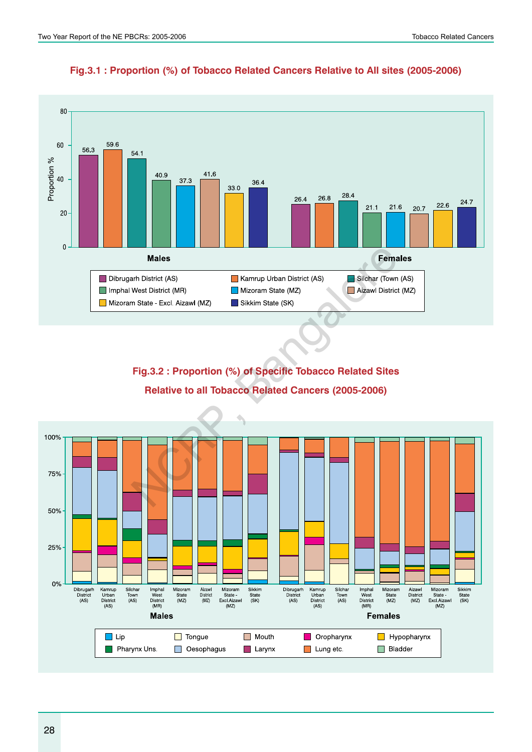

**Fig.3.1 : Proportion (%) of Tobacco Related Cancers Relative to All sites (2005-2006)**

**Fig.3.2 : Proportion (%) of Specific Tobacco Related Sites Relative to all Tobacco Related Cancers (2005-2006)**

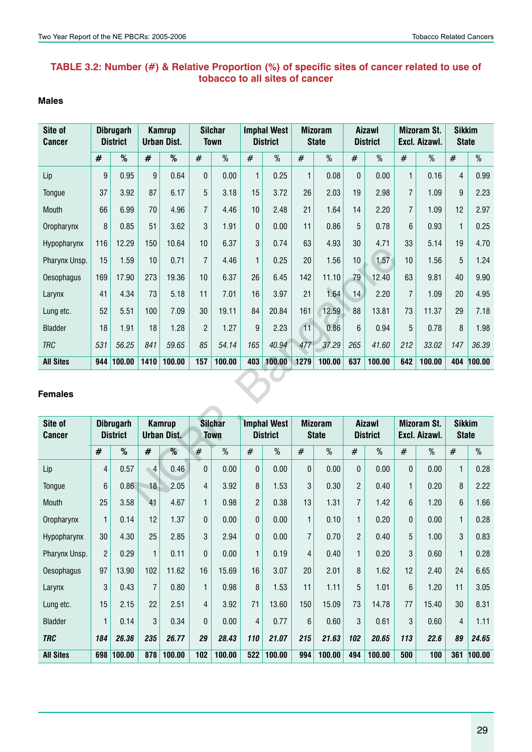## **TABLE 3.2: Number (#) & Relative Proportion (%) of specific sites of cancer related to use of tobacco to all sites of cancer**

#### **Males**

| Site of<br><b>Cancer</b> | <b>Dibrugarh</b><br><b>Kamrup</b><br><b>District</b><br><b>Urban Dist.</b> |                                     |                | <b>Silchar</b><br><b>Town</b> |                | <b>Imphal West</b><br><b>District</b> |                | <b>Mizoram</b><br><b>State</b>        |                 | <b>Aizawl</b><br><b>District</b> |                | <b>Mizoram St.</b><br>Excl. Aizawl. | <b>Sikkim</b><br><b>State</b>       |        |                               |        |
|--------------------------|----------------------------------------------------------------------------|-------------------------------------|----------------|-------------------------------|----------------|---------------------------------------|----------------|---------------------------------------|-----------------|----------------------------------|----------------|-------------------------------------|-------------------------------------|--------|-------------------------------|--------|
|                          | #                                                                          | %                                   | #              | %                             | #              | $\%$                                  | #              | $\%$                                  | #               | $\%$                             | #              | %                                   | $\#$                                | $\%$   | #                             | $\%$   |
| Lip                      | 9                                                                          | 0.95                                | 9              | 0.64                          | 0              | 0.00                                  | $\mathbf{1}$   | 0.25                                  | 1               | 0.08                             | $\mathbf 0$    | 0.00                                | $\mathbf{1}$                        | 0.16   | 4                             | 0.99   |
| Tongue                   | 37                                                                         | 3.92                                | 87             | 6.17                          | 5              | 3.18                                  | 15             | 3.72                                  | 26              | 2.03                             | 19             | 2.98                                | $\overline{7}$                      | 1.09   | 9                             | 2.23   |
| Mouth                    | 66                                                                         | 6.99                                | 70             | 4.96                          | $\overline{7}$ | 4.46                                  | 10             | 2.48                                  | 21              | 1.64                             | 14             | 2.20                                | $\overline{I}$                      | 1.09   | 12                            | 2.97   |
| Oropharynx               | 8                                                                          | 0.85                                | 51             | 3.62                          | 3              | 1.91                                  | $\mathbf{0}$   | 0.00                                  | 11              | 0.86                             | 5              | 0.78                                | 6                                   | 0.93   | 1                             | 0.25   |
| Hypopharynx              | 116                                                                        | 12.29                               | 150            | 10.64                         | 10             | 6.37                                  | 3              | 0.74                                  | 63              | 4.93                             | 30             | 4.71                                | 33                                  | 5.14   | 19                            | 4.70   |
| Pharynx Unsp.            | 15                                                                         | 1.59                                | 10             | 0.71                          | $\overline{7}$ | 4.46                                  | 1              | 0.25                                  | 20              | 1.56                             | 10             | 1.57                                | 10                                  | 1.56   | 5                             | 1.24   |
| <b>Oesophagus</b>        | 169                                                                        | 17.90                               | 273            | 19.36                         | 10             | 6.37                                  | 26             | 6.45                                  | 142             | 11.10                            | 79             | 12.40                               | 63                                  | 9.81   | 40                            | 9.90   |
| Larynx                   | 41                                                                         | 4.34                                | 73             | 5.18                          | 11             | 7.01                                  | 16             | 3.97                                  | 21              | 1.64                             | 14             | 2.20                                | $\overline{7}$                      | 1.09   | 20                            | 4.95   |
| Lung etc.                | 52                                                                         | 5.51                                | 100            | 7.09                          | 30             | 19.11                                 | 84             | 20.84                                 | 161             | 12.59                            | 88             | 13.81                               | 73                                  | 11.37  | 29                            | 7.18   |
| <b>Bladder</b>           | 18                                                                         | 1.91                                | 18             | 1.28                          | $\overline{2}$ | 1.27                                  | 9              | 2.23                                  | $\overline{11}$ | 0.86                             | $6\phantom{1}$ | 0.94                                | 5                                   | 0.78   | 8                             | 1.98   |
| <b>TRC</b>               | 531                                                                        | 56.25                               | 841            | 59.65                         | 85             | 54.14                                 | 165            | 40.94                                 | 477             | 37.29                            | 265            | 41.60                               | 212                                 | 33.02  | 147                           | 36.39  |
| <b>All Sites</b>         | 944                                                                        | 100.00                              | 1410           | 100.00                        | 157            | 100.00                                | 403            | 100.00                                | 1279            | 100.00                           | 637            | 100.00                              | 642                                 | 100.00 | 404                           | 100.00 |
| <b>Females</b>           |                                                                            |                                     |                |                               |                |                                       |                |                                       |                 |                                  |                |                                     |                                     |        |                               |        |
| Site of<br><b>Cancer</b> |                                                                            | <b>Dibrugarh</b><br><b>District</b> |                | <b>Kamrup</b><br>Urban Dist.  |                | <b>Silchar</b><br><b>Town</b>         |                | <b>Imphal West</b><br><b>District</b> |                 | <b>Mizoram</b><br><b>State</b>   |                | <b>Aizawl</b><br><b>District</b>    | <b>Mizoram St.</b><br>Excl. Aizawl. |        | <b>Sikkim</b><br><b>State</b> |        |
|                          | $\#$                                                                       | $\%$                                | #              | %                             | #              | %                                     | $\#$           | $\%$                                  | #               | $\%$                             | $\#$           | $\%$                                | $\#$                                | $\%$   | $\#$                          | $\%$   |
| Lip                      | 4                                                                          | 0.57                                | $\overline{4}$ | 0.46                          | 0              | 0.00                                  | $\pmb{0}$      | 0.00                                  | $\mathbf 0$     | 0.00                             | 0              | 0.00                                | 0                                   | 0.00   | 1                             | 0.28   |
| Tongue                   | $6\phantom{1}$                                                             | 0.86                                | 18             | 2.05                          | $\overline{4}$ | 3.92                                  | 8              | 1.53                                  | 3               | 0.30                             | $\overline{c}$ | 0.40                                | $\mathbf{1}$                        | 0.20   | 8                             | 2.22   |
| Mouth                    | 25                                                                         | 3.58                                | 41             | 4.67                          | $\mathbf{1}$   | 0.98                                  | $\overline{2}$ | 0.38                                  | 13              | 1.31                             | $\overline{7}$ | 1.42                                | 6                                   | 1.20   | 6                             | 1.66   |

#### **Females**

| Site of<br><b>Cancer</b> | <b>Dibrugarh</b><br><b>District</b> |            |                |        | Kamrup<br>Urban Dist. |        | <b>Silchar</b><br><b>Town</b> |        | <b>Imphal West</b><br><b>District</b> |        | <b>Mizoram</b><br><b>State</b> |        | <b>Aizawl</b><br><b>District</b> |       | <b>Mizoram St.</b><br>Excl. Aizawl. |        | <b>Sikkim</b><br><b>State</b> |  |
|--------------------------|-------------------------------------|------------|----------------|--------|-----------------------|--------|-------------------------------|--------|---------------------------------------|--------|--------------------------------|--------|----------------------------------|-------|-------------------------------------|--------|-------------------------------|--|
|                          | #                                   | %          | #              | %      | #                     | %      | #                             | $\%$   | #                                     | $\%$   | #                              | %      | #                                | %     | #                                   | %      |                               |  |
| Lip                      | $\overline{4}$                      | 0.57       | 4              | 0.46   | $\mathbf{0}$          | 0.00   | $\mathbf 0$                   | 0.00   | 0                                     | 0.00   | $\mathbf 0$                    | 0.00   | $\Omega$                         | 0.00  | 1                                   | 0.28   |                               |  |
| Tongue                   | $6\phantom{1}$                      | 0.86       | 18             | 2.05   | $\overline{4}$        | 3.92   | 8                             | 1.53   | 3                                     | 0.30   | $\mathfrak{p}$                 | 0.40   |                                  | 0.20  | 8                                   | 2.22   |                               |  |
| <b>Mouth</b>             | 25                                  | 3.58       | 41             | 4.67   | $\mathbf{1}$          | 0.98   | $\overline{2}$                | 0.38   | 13                                    | 1.31   | 7                              | 1.42   | 6                                | 1.20  | $6\phantom{1}$                      | 1.66   |                               |  |
| Oropharynx               | $\mathbf{1}$                        | 0.14       | 12             | 1.37   | $\overline{0}$        | 0.00   | 0                             | 0.00   | 1                                     | 0.10   | $\mathbf{1}$                   | 0.20   | $\Omega$                         | 0.00  | 1                                   | 0.28   |                               |  |
| Hypopharynx              | 30                                  | 4.30       | 25             | 2.85   | 3                     | 2.94   | 0                             | 0.00   | $\overline{7}$                        | 0.70   | $\overline{2}$                 | 0.40   | 5                                | 1.00  | 3                                   | 0.83   |                               |  |
| Pharynx Unsp.            | $\overline{2}$                      | 0.29       | $\mathbf{1}$   | 0.11   | $\mathbf{0}$          | 0.00   | $\mathbf{1}$                  | 0.19   | $\overline{4}$                        | 0.40   | $\mathbf{1}$                   | 0.20   | 3                                | 0.60  | 1                                   | 0.28   |                               |  |
| <b>Oesophagus</b>        | 97                                  | 13.90      | 102            | 11.62  | 16                    | 15.69  | 16                            | 3.07   | 20                                    | 2.01   | 8                              | 1.62   | 12                               | 2.40  | 24                                  | 6.65   |                               |  |
| Larynx                   | 3                                   | 0.43       | $\overline{7}$ | 0.80   | 1                     | 0.98   | 8                             | 1.53   | 11                                    | 1.11   | 5                              | 1.01   | 6                                | 1.20  | 11                                  | 3.05   |                               |  |
| Lung etc.                | 15                                  | 2.15       | 22             | 2.51   | $\overline{4}$        | 3.92   | 71                            | 13.60  | 150                                   | 15.09  | 73                             | 14.78  | 77                               | 15.40 | 30                                  | 8.31   |                               |  |
| <b>Bladder</b>           | $\mathbf{1}$                        | 0.14       | 3              | 0.34   | $\overline{0}$        | 0.00   | $\overline{4}$                | 0.77   | 6                                     | 0.60   | 3                              | 0.61   | 3                                | 0.60  | $\overline{4}$                      | 1.11   |                               |  |
| <b>TRC</b>               | 184                                 | 26.36      | 235            | 26.77  | 29                    | 28.43  | 110                           | 21.07  | 215                                   | 21.63  | 102                            | 20.65  | 113                              | 22.6  | 89                                  | 24.65  |                               |  |
| <b>All Sites</b>         |                                     | 698 100.00 | 878            | 100.00 | 102                   | 100.00 | 522                           | 100.00 | 994                                   | 100.00 | 494                            | 100.00 | 500                              | 100   | 361                                 | 100.00 |                               |  |